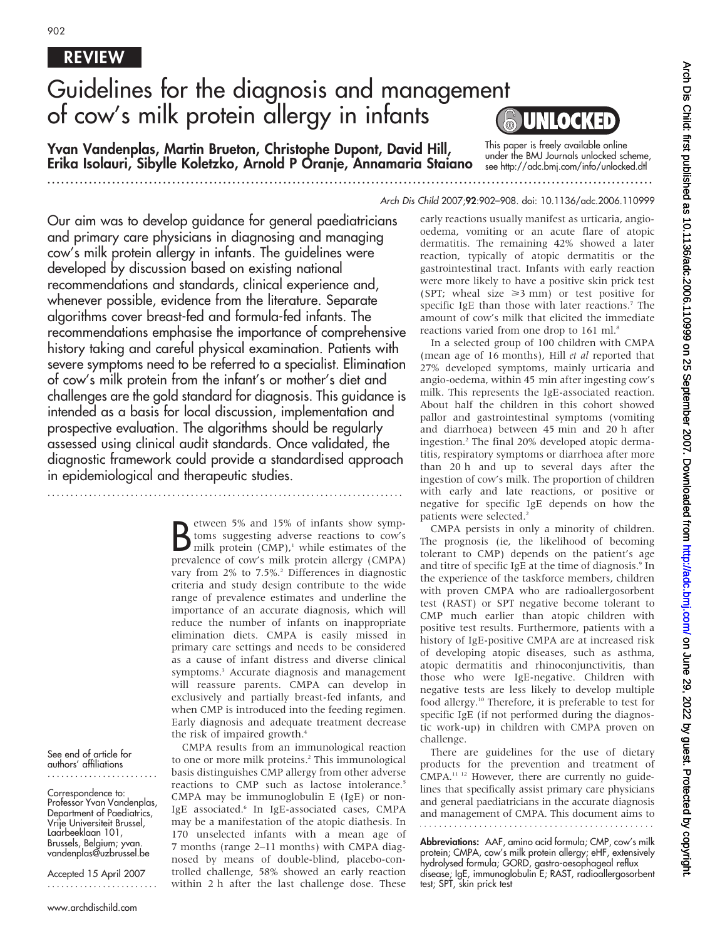# REVIEW

# Guidelines for the diagnosis and management of cow's milk protein allergy in infants

Yvan Vandenplas, Martin Brueton, Christophe Dupont, David Hill, Erika Isolauri, Sibylle Koletzko, Arnold P Oranje, Annamaria Staiano

This paper is freely available online under the BMJ Journals unlocked scheme, see http://adc.bmj.com/info/unlocked.dtl

...................................................................................................................................

Our aim was to develop guidance for general paediatricians and primary care physicians in diagnosing and managing cow's milk protein allergy in infants. The guidelines were developed by discussion based on existing national recommendations and standards, clinical experience and, whenever possible, evidence from the literature. Separate algorithms cover breast-fed and formula-fed infants. The recommendations emphasise the importance of comprehensive history taking and careful physical examination. Patients with severe symptoms need to be referred to a specialist. Elimination of cow's milk protein from the infant's or mother's diet and challenges are the gold standard for diagnosis. This guidance is intended as a basis for local discussion, implementation and prospective evaluation. The algorithms should be regularly assessed using clinical audit standards. Once validated, the diagnostic framework could provide a standardised approach in epidemiological and therapeutic studies.

.............................................................................

B etween 5% and 15% of infants show symp-<br>brows suggesting adverse reactions to cow's<br>milk protein (CMP),<sup>1</sup> while estimates of the<br>prevalence of cow's milk protein allergy (CMPA) etween 5% and 15% of infants show symptoms suggesting adverse reactions to cow's prevalence of cow's milk protein allergy (CMPA) vary from 2% to 7.5%.<sup>2</sup> Differences in diagnostic criteria and study design contribute to the wide range of prevalence estimates and underline the importance of an accurate diagnosis, which will reduce the number of infants on inappropriate elimination diets. CMPA is easily missed in primary care settings and needs to be considered as a cause of infant distress and diverse clinical symptoms.<sup>3</sup> Accurate diagnosis and management will reassure parents. CMPA can develop in exclusively and partially breast-fed infants, and when CMP is introduced into the feeding regimen. Early diagnosis and adequate treatment decrease the risk of impaired growth.<sup>4</sup>

CMPA results from an immunological reaction to one or more milk proteins.<sup>2</sup> This immunological basis distinguishes CMP allergy from other adverse reactions to CMP such as lactose intolerance.<sup>5</sup> CMPA may be immunoglobulin E (IgE) or non-IgE associated.<sup>6</sup> In IgE-associated cases, CMPA may be a manifestation of the atopic diathesis. In 170 unselected infants with a mean age of 7 months (range 2–11 months) with CMPA diagnosed by means of double-blind, placebo-controlled challenge, 58% showed an early reaction within 2 h after the last challenge dose. These

#### Arch Dis Child 2007;92:902–908. doi: 10.1136/adc.2006.110999

early reactions usually manifest as urticaria, angiooedema, vomiting or an acute flare of atopic dermatitis. The remaining 42% showed a later reaction, typically of atopic dermatitis or the gastrointestinal tract. Infants with early reaction were more likely to have a positive skin prick test (SPT; wheal size  $\geq 3$  mm) or test positive for specific IgE than those with later reactions.<sup>7</sup> The amount of cow's milk that elicited the immediate reactions varied from one drop to 161 ml.<sup>8</sup>

In a selected group of 100 children with CMPA (mean age of 16 months), Hill et al reported that 27% developed symptoms, mainly urticaria and angio-oedema, within 45 min after ingesting cow's milk. This represents the IgE-associated reaction. About half the children in this cohort showed pallor and gastrointestinal symptoms (vomiting and diarrhoea) between 45 min and 20 h after ingestion.2 The final 20% developed atopic dermatitis, respiratory symptoms or diarrhoea after more than 20 h and up to several days after the ingestion of cow's milk. The proportion of children with early and late reactions, or positive or negative for specific IgE depends on how the patients were selected.<sup>2</sup>

CMPA persists in only a minority of children. The prognosis (ie, the likelihood of becoming tolerant to CMP) depends on the patient's age and titre of specific IgE at the time of diagnosis.<sup>9</sup> In the experience of the taskforce members, children with proven CMPA who are radioallergosorbent test (RAST) or SPT negative become tolerant to CMP much earlier than atopic children with positive test results. Furthermore, patients with a history of IgE-positive CMPA are at increased risk of developing atopic diseases, such as asthma, atopic dermatitis and rhinoconjunctivitis, than those who were IgE-negative. Children with negative tests are less likely to develop multiple food allergy.10 Therefore, it is preferable to test for specific IgE (if not performed during the diagnostic work-up) in children with CMPA proven on challenge.

There are guidelines for the use of dietary products for the prevention and treatment of CMPA.11 12 However, there are currently no guidelines that specifically assist primary care physicians and general paediatricians in the accurate diagnosis and management of CMPA. This document aims to 

Abbreviations: AAF, amino acid formula; CMP, cow's milk protein; CMPA, cow's milk protein allergy; eHF, extensively hydrolysed formula; GORD, gastro-oesophageal reflux disease; IgE, immunoglobulin E; RAST, radioallergosorbent test; SPT, skin prick test

See end of article for authors' affiliations ........................

Correspondence to: Professor Yvan Vandenplas, Department of Paediatrics, Vrije Universiteit Brussel, Laarbeeklaan 101, Brussels, Belgium; yvan. vandenplas@uzbrussel.be

Accepted 15 April 2007 ........................

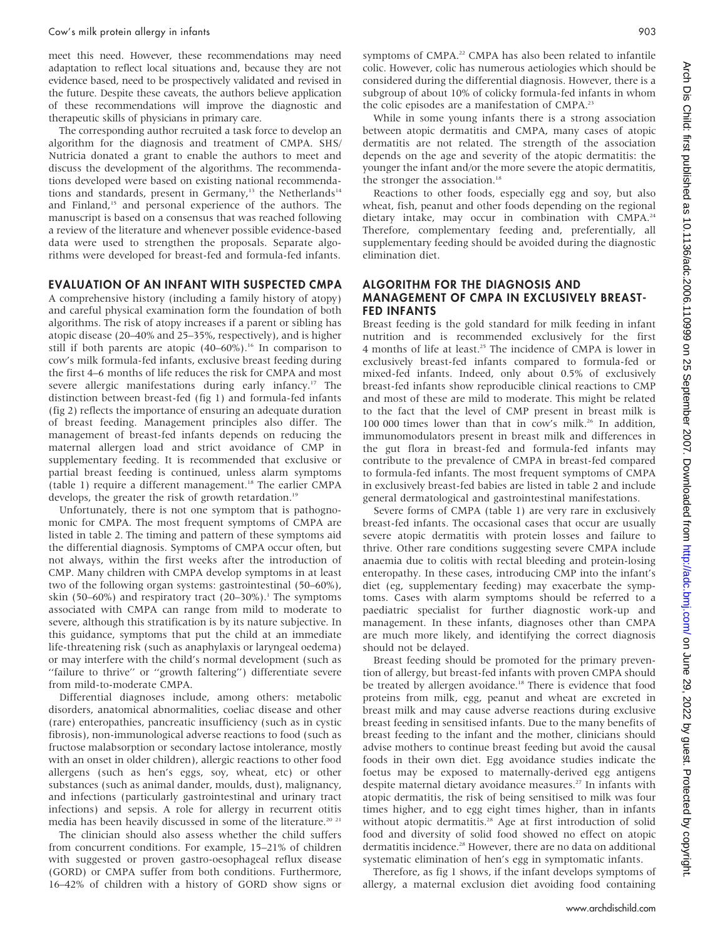meet this need. However, these recommendations may need adaptation to reflect local situations and, because they are not evidence based, need to be prospectively validated and revised in the future. Despite these caveats, the authors believe application of these recommendations will improve the diagnostic and therapeutic skills of physicians in primary care.

The corresponding author recruited a task force to develop an algorithm for the diagnosis and treatment of CMPA. SHS/ Nutricia donated a grant to enable the authors to meet and discuss the development of the algorithms. The recommendations developed were based on existing national recommendations and standards, present in Germany,<sup>13</sup> the Netherlands<sup>14</sup> and Finland,<sup>15</sup> and personal experience of the authors. The manuscript is based on a consensus that was reached following a review of the literature and whenever possible evidence-based data were used to strengthen the proposals. Separate algorithms were developed for breast-fed and formula-fed infants.

# EVALUATION OF AN INFANT WITH SUSPECTED CMPA

A comprehensive history (including a family history of atopy) and careful physical examination form the foundation of both algorithms. The risk of atopy increases if a parent or sibling has atopic disease (20–40% and 25–35%, respectively), and is higher still if both parents are atopic  $(40-60\%)$ .<sup>16</sup> In comparison to cow's milk formula-fed infants, exclusive breast feeding during the first 4–6 months of life reduces the risk for CMPA and most severe allergic manifestations during early infancy.<sup>17</sup> The distinction between breast-fed (fig 1) and formula-fed infants (fig 2) reflects the importance of ensuring an adequate duration of breast feeding. Management principles also differ. The management of breast-fed infants depends on reducing the maternal allergen load and strict avoidance of CMP in supplementary feeding. It is recommended that exclusive or partial breast feeding is continued, unless alarm symptoms (table 1) require a different management.<sup>18</sup> The earlier CMPA develops, the greater the risk of growth retardation.<sup>19</sup>

Unfortunately, there is not one symptom that is pathognomonic for CMPA. The most frequent symptoms of CMPA are listed in table 2. The timing and pattern of these symptoms aid the differential diagnosis. Symptoms of CMPA occur often, but not always, within the first weeks after the introduction of CMP. Many children with CMPA develop symptoms in at least two of the following organ systems: gastrointestinal (50–60%), skin (50–60%) and respiratory tract (20–30%).<sup>1</sup> The symptoms associated with CMPA can range from mild to moderate to severe, although this stratification is by its nature subjective. In this guidance, symptoms that put the child at an immediate life-threatening risk (such as anaphylaxis or laryngeal oedema) or may interfere with the child's normal development (such as ''failure to thrive'' or ''growth faltering'') differentiate severe from mild-to-moderate CMPA.

Differential diagnoses include, among others: metabolic disorders, anatomical abnormalities, coeliac disease and other (rare) enteropathies, pancreatic insufficiency (such as in cystic fibrosis), non-immunological adverse reactions to food (such as fructose malabsorption or secondary lactose intolerance, mostly with an onset in older children), allergic reactions to other food allergens (such as hen's eggs, soy, wheat, etc) or other substances (such as animal dander, moulds, dust), malignancy, and infections (particularly gastrointestinal and urinary tract infections) and sepsis. A role for allergy in recurrent otitis media has been heavily discussed in some of the literature.<sup>20 21</sup>

The clinician should also assess whether the child suffers from concurrent conditions. For example, 15–21% of children with suggested or proven gastro-oesophageal reflux disease (GORD) or CMPA suffer from both conditions. Furthermore, 16–42% of children with a history of GORD show signs or symptoms of CMPA.<sup>22</sup> CMPA has also been related to infantile colic. However, colic has numerous aetiologies which should be considered during the differential diagnosis. However, there is a subgroup of about 10% of colicky formula-fed infants in whom the colic episodes are a manifestation of CMPA.<sup>23</sup>

While in some young infants there is a strong association between atopic dermatitis and CMPA, many cases of atopic dermatitis are not related. The strength of the association depends on the age and severity of the atopic dermatitis: the younger the infant and/or the more severe the atopic dermatitis, the stronger the association.<sup>18</sup>

Reactions to other foods, especially egg and soy, but also wheat, fish, peanut and other foods depending on the regional dietary intake, may occur in combination with CMPA.<sup>24</sup> Therefore, complementary feeding and, preferentially, all supplementary feeding should be avoided during the diagnostic elimination diet.

## ALGORITHM FOR THE DIAGNOSIS AND MANAGEMENT OF CMPA IN EXCLUSIVELY BREAST-FED INFANTS

Breast feeding is the gold standard for milk feeding in infant nutrition and is recommended exclusively for the first 4 months of life at least.25 The incidence of CMPA is lower in exclusively breast-fed infants compared to formula-fed or mixed-fed infants. Indeed, only about 0.5% of exclusively breast-fed infants show reproducible clinical reactions to CMP and most of these are mild to moderate. This might be related to the fact that the level of CMP present in breast milk is 100 000 times lower than that in cow's milk.<sup>26</sup> In addition, immunomodulators present in breast milk and differences in the gut flora in breast-fed and formula-fed infants may contribute to the prevalence of CMPA in breast-fed compared to formula-fed infants. The most frequent symptoms of CMPA in exclusively breast-fed babies are listed in table 2 and include general dermatological and gastrointestinal manifestations.

Severe forms of CMPA (table 1) are very rare in exclusively breast-fed infants. The occasional cases that occur are usually severe atopic dermatitis with protein losses and failure to thrive. Other rare conditions suggesting severe CMPA include anaemia due to colitis with rectal bleeding and protein-losing enteropathy. In these cases, introducing CMP into the infant's diet (eg, supplementary feeding) may exacerbate the symptoms. Cases with alarm symptoms should be referred to a paediatric specialist for further diagnostic work-up and management. In these infants, diagnoses other than CMPA are much more likely, and identifying the correct diagnosis should not be delayed.

Breast feeding should be promoted for the primary prevention of allergy, but breast-fed infants with proven CMPA should be treated by allergen avoidance.<sup>18</sup> There is evidence that food proteins from milk, egg, peanut and wheat are excreted in breast milk and may cause adverse reactions during exclusive breast feeding in sensitised infants. Due to the many benefits of breast feeding to the infant and the mother, clinicians should advise mothers to continue breast feeding but avoid the causal foods in their own diet. Egg avoidance studies indicate the foetus may be exposed to maternally-derived egg antigens despite maternal dietary avoidance measures.<sup>27</sup> In infants with atopic dermatitis, the risk of being sensitised to milk was four times higher, and to egg eight times higher, than in infants without atopic dermatitis.<sup>28</sup> Age at first introduction of solid food and diversity of solid food showed no effect on atopic dermatitis incidence.<sup>28</sup> However, there are no data on additional systematic elimination of hen's egg in symptomatic infants.

Therefore, as fig 1 shows, if the infant develops symptoms of allergy, a maternal exclusion diet avoiding food containing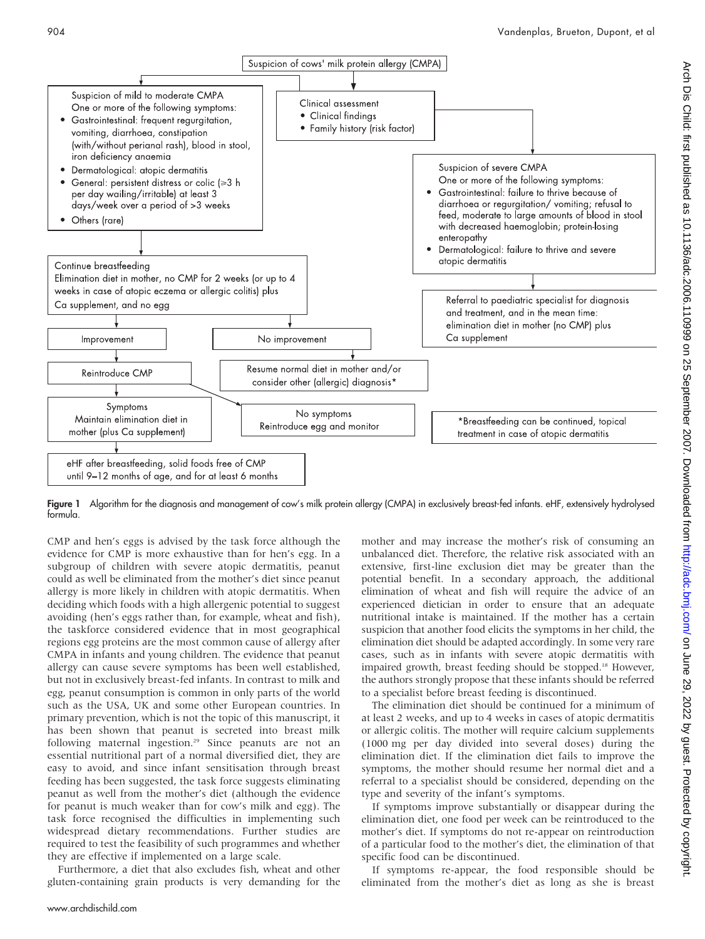

Figure 1 Algorithm for the diagnosis and management of cow's milk protein allergy (CMPA) in exclusively breast-fed infants. eHF, extensively hydrolysed formula.

CMP and hen's eggs is advised by the task force although the evidence for CMP is more exhaustive than for hen's egg. In a subgroup of children with severe atopic dermatitis, peanut could as well be eliminated from the mother's diet since peanut allergy is more likely in children with atopic dermatitis. When deciding which foods with a high allergenic potential to suggest avoiding (hen's eggs rather than, for example, wheat and fish), the taskforce considered evidence that in most geographical regions egg proteins are the most common cause of allergy after CMPA in infants and young children. The evidence that peanut allergy can cause severe symptoms has been well established, but not in exclusively breast-fed infants. In contrast to milk and egg, peanut consumption is common in only parts of the world such as the USA, UK and some other European countries. In primary prevention, which is not the topic of this manuscript, it has been shown that peanut is secreted into breast milk following maternal ingestion.<sup>29</sup> Since peanuts are not an essential nutritional part of a normal diversified diet, they are easy to avoid, and since infant sensitisation through breast feeding has been suggested, the task force suggests eliminating peanut as well from the mother's diet (although the evidence for peanut is much weaker than for cow's milk and egg). The task force recognised the difficulties in implementing such widespread dietary recommendations. Further studies are required to test the feasibility of such programmes and whether they are effective if implemented on a large scale.

Furthermore, a diet that also excludes fish, wheat and other gluten-containing grain products is very demanding for the mother and may increase the mother's risk of consuming an unbalanced diet. Therefore, the relative risk associated with an extensive, first-line exclusion diet may be greater than the potential benefit. In a secondary approach, the additional elimination of wheat and fish will require the advice of an experienced dietician in order to ensure that an adequate nutritional intake is maintained. If the mother has a certain suspicion that another food elicits the symptoms in her child, the elimination diet should be adapted accordingly. In some very rare cases, such as in infants with severe atopic dermatitis with impaired growth, breast feeding should be stopped.<sup>18</sup> However, the authors strongly propose that these infants should be referred to a specialist before breast feeding is discontinued.

The elimination diet should be continued for a minimum of at least 2 weeks, and up to 4 weeks in cases of atopic dermatitis or allergic colitis. The mother will require calcium supplements (1000 mg per day divided into several doses) during the elimination diet. If the elimination diet fails to improve the symptoms, the mother should resume her normal diet and a referral to a specialist should be considered, depending on the type and severity of the infant's symptoms.

If symptoms improve substantially or disappear during the elimination diet, one food per week can be reintroduced to the mother's diet. If symptoms do not re-appear on reintroduction of a particular food to the mother's diet, the elimination of that specific food can be discontinued.

If symptoms re-appear, the food responsible should be eliminated from the mother's diet as long as she is breast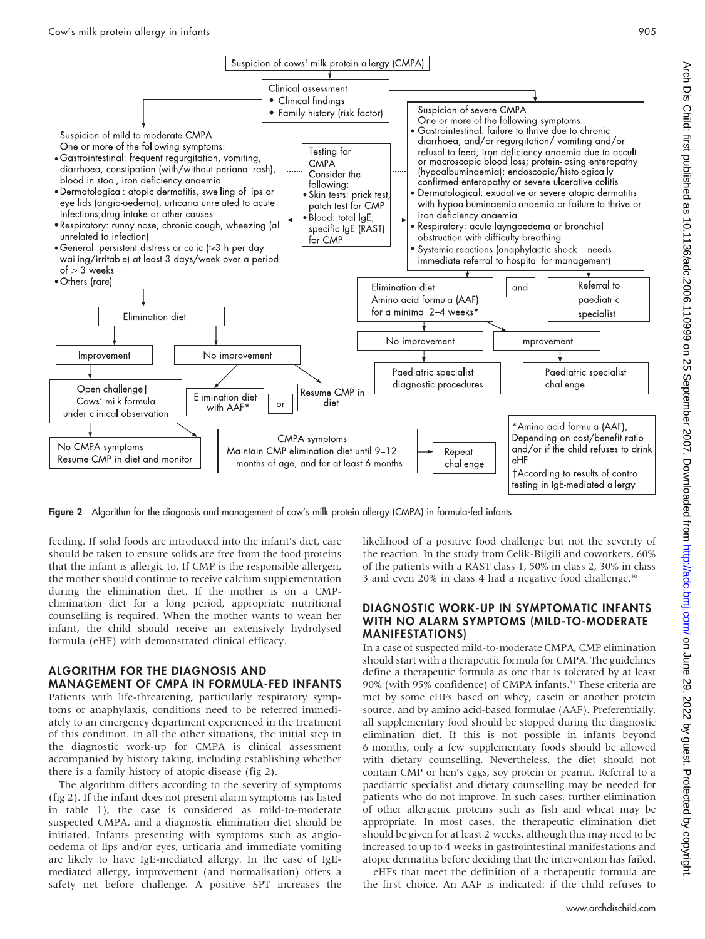

Figure 2 Algorithm for the diagnosis and management of cow's milk protein allergy (CMPA) in formula-fed infants.

feeding. If solid foods are introduced into the infant's diet, care should be taken to ensure solids are free from the food proteins that the infant is allergic to. If CMP is the responsible allergen, the mother should continue to receive calcium supplementation during the elimination diet. If the mother is on a CMPelimination diet for a long period, appropriate nutritional counselling is required. When the mother wants to wean her infant, the child should receive an extensively hydrolysed formula (eHF) with demonstrated clinical efficacy.

# ALGORITHM FOR THE DIAGNOSIS AND MANAGEMENT OF CMPA IN FORMULA-FED INFANTS

Patients with life-threatening, particularly respiratory symptoms or anaphylaxis, conditions need to be referred immediately to an emergency department experienced in the treatment of this condition. In all the other situations, the initial step in the diagnostic work-up for CMPA is clinical assessment accompanied by history taking, including establishing whether there is a family history of atopic disease (fig 2).

The algorithm differs according to the severity of symptoms (fig 2). If the infant does not present alarm symptoms (as listed in table 1), the case is considered as mild-to-moderate suspected CMPA, and a diagnostic elimination diet should be initiated. Infants presenting with symptoms such as angiooedema of lips and/or eyes, urticaria and immediate vomiting are likely to have IgE-mediated allergy. In the case of IgEmediated allergy, improvement (and normalisation) offers a safety net before challenge. A positive SPT increases the

likelihood of a positive food challenge but not the severity of the reaction. In the study from Celik-Bilgili and coworkers, 60% of the patients with a RAST class 1, 50% in class 2, 30% in class 3 and even 20% in class 4 had a negative food challenge.<sup>30</sup>

# DIAGNOSTIC WORK-UP IN SYMPTOMATIC INFANTS WITH NO ALARM SYMPTOMS (MILD-TO-MODERATE MANIFESTATIONS)

In a case of suspected mild-to-moderate CMPA, CMP elimination should start with a therapeutic formula for CMPA. The guidelines define a therapeutic formula as one that is tolerated by at least 90% (with 95% confidence) of CMPA infants.<sup>31</sup> These criteria are met by some eHFs based on whey, casein or another protein source, and by amino acid-based formulae (AAF). Preferentially, all supplementary food should be stopped during the diagnostic elimination diet. If this is not possible in infants beyond 6 months, only a few supplementary foods should be allowed with dietary counselling. Nevertheless, the diet should not contain CMP or hen's eggs, soy protein or peanut. Referral to a paediatric specialist and dietary counselling may be needed for patients who do not improve. In such cases, further elimination of other allergenic proteins such as fish and wheat may be appropriate. In most cases, the therapeutic elimination diet should be given for at least 2 weeks, although this may need to be increased to up to 4 weeks in gastrointestinal manifestations and atopic dermatitis before deciding that the intervention has failed.

eHFs that meet the definition of a therapeutic formula are the first choice. An AAF is indicated: if the child refuses to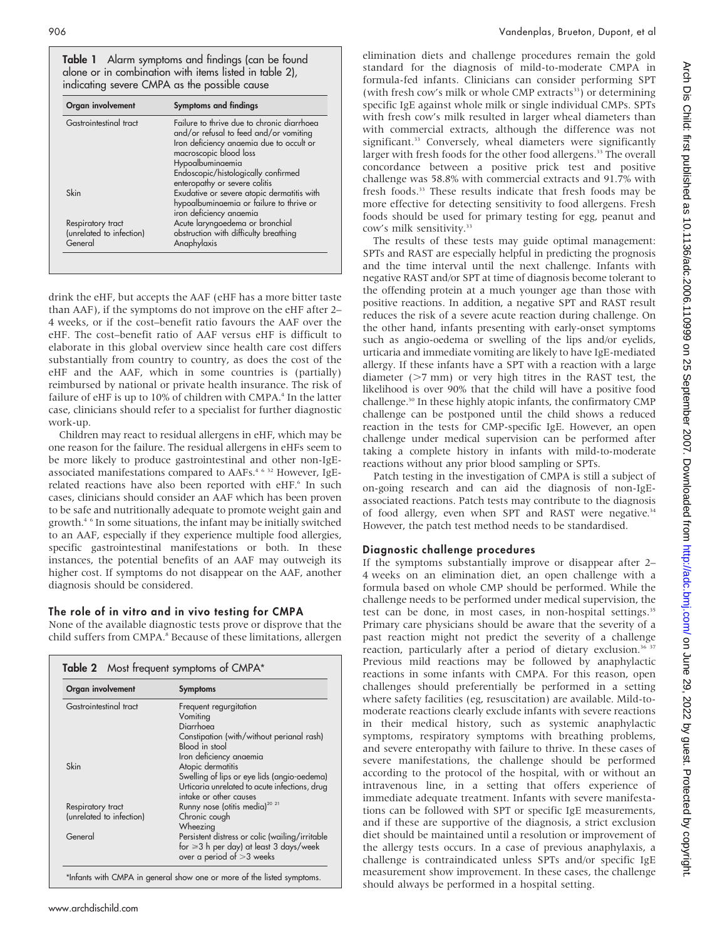Table 1 Alarm symptoms and findings (can be found alone or in combination with items listed in table 2), indicating severe CMPA as the possible cause

| Organ involvement        | <b>Symptoms and findings</b>                                                                                                                               |
|--------------------------|------------------------------------------------------------------------------------------------------------------------------------------------------------|
| Gastrointestinal tract   | Failure to thrive due to chronic diarrhoea<br>and/or refusal to feed and/or vomiting<br>Iron deficiency anaemia due to occult or<br>macroscopic blood loss |
|                          | Hypoalbuminaemia                                                                                                                                           |
|                          | Endoscopic/histologically confirmed                                                                                                                        |
|                          | enteropathy or severe colitis                                                                                                                              |
| Skin                     | Exudative or severe atopic dermatitis with<br>hypoalbuminaemia or failure to thrive or<br>iron deficiency anaemia                                          |
| Respiratory tract        | Acute laryngoedema or bronchial                                                                                                                            |
| (unrelated to infection) | obstruction with difficulty breathing                                                                                                                      |
| General                  | Anaphylaxis                                                                                                                                                |

drink the eHF, but accepts the AAF (eHF has a more bitter taste than AAF), if the symptoms do not improve on the eHF after 2– 4 weeks, or if the cost–benefit ratio favours the AAF over the eHF. The cost–benefit ratio of AAF versus eHF is difficult to elaborate in this global overview since health care cost differs substantially from country to country, as does the cost of the eHF and the AAF, which in some countries is (partially) reimbursed by national or private health insurance. The risk of failure of eHF is up to 10% of children with CMPA.<sup>4</sup> In the latter case, clinicians should refer to a specialist for further diagnostic work-up.

Children may react to residual allergens in eHF, which may be one reason for the failure. The residual allergens in eHFs seem to be more likely to produce gastrointestinal and other non-IgEassociated manifestations compared to AAFs.<sup>4 6 32</sup> However, IgErelated reactions have also been reported with eHF.<sup>6</sup> In such cases, clinicians should consider an AAF which has been proven to be safe and nutritionally adequate to promote weight gain and growth.4 6 In some situations, the infant may be initially switched to an AAF, especially if they experience multiple food allergies, specific gastrointestinal manifestations or both. In these instances, the potential benefits of an AAF may outweigh its higher cost. If symptoms do not disappear on the AAF, another diagnosis should be considered.

### The role of in vitro and in vivo testing for CMPA

None of the available diagnostic tests prove or disprove that the child suffers from CMPA.<sup>8</sup> Because of these limitations, allergen

| Organ involvement        | <b>Symptoms</b>                                       |
|--------------------------|-------------------------------------------------------|
| Gastrointestinal tract   | Frequent regurgitation                                |
|                          | Vomiting                                              |
|                          | Diarrhoea                                             |
|                          | Constipation (with/without perianal rash)             |
|                          | Blood in stool                                        |
|                          | Iron deficiency anaemia                               |
| Skin                     | Atopic dermatitis                                     |
|                          | Swelling of lips or eye lids (angio-oedema)           |
|                          | Urticaria unrelated to acute infections, drug         |
|                          | intake or other causes                                |
| Respiratory tract        | Runny nose (otitis media) <sup>20</sup> <sup>21</sup> |
| (unrelated to infection) | Chronic cough                                         |
|                          | Wheezing                                              |
| General                  | Persistent distress or colic (wailing/irritable       |
|                          | for $\geq 3$ h per day) at least 3 days/week          |
|                          | over a period of $>3$ weeks                           |

elimination diets and challenge procedures remain the gold standard for the diagnosis of mild-to-moderate CMPA in formula-fed infants. Clinicians can consider performing SPT (with fresh cow's milk or whole CMP extracts<sup>33</sup>) or determining specific IgE against whole milk or single individual CMPs. SPTs with fresh cow's milk resulted in larger wheal diameters than with commercial extracts, although the difference was not significant.<sup>33</sup> Conversely, wheal diameters were significantly larger with fresh foods for the other food allergens.<sup>33</sup> The overall concordance between a positive prick test and positive challenge was 58.8% with commercial extracts and 91.7% with fresh foods.<sup>33</sup> These results indicate that fresh foods may be more effective for detecting sensitivity to food allergens. Fresh foods should be used for primary testing for egg, peanut and cow's milk sensitivity.33

The results of these tests may guide optimal management: SPTs and RAST are especially helpful in predicting the prognosis and the time interval until the next challenge. Infants with negative RAST and/or SPT at time of diagnosis become tolerant to the offending protein at a much younger age than those with positive reactions. In addition, a negative SPT and RAST result reduces the risk of a severe acute reaction during challenge. On the other hand, infants presenting with early-onset symptoms such as angio-oedema or swelling of the lips and/or eyelids, urticaria and immediate vomiting are likely to have IgE-mediated allergy. If these infants have a SPT with a reaction with a large diameter  $(>7$  mm) or very high titres in the RAST test, the likelihood is over 90% that the child will have a positive food challenge.<sup>30</sup> In these highly atopic infants, the confirmatory CMP challenge can be postponed until the child shows a reduced reaction in the tests for CMP-specific IgE. However, an open challenge under medical supervision can be performed after taking a complete history in infants with mild-to-moderate reactions without any prior blood sampling or SPTs.

Patch testing in the investigation of CMPA is still a subject of on-going research and can aid the diagnosis of non-IgEassociated reactions. Patch tests may contribute to the diagnosis of food allergy, even when SPT and RAST were negative.<sup>34</sup> However, the patch test method needs to be standardised.

### Diagnostic challenge procedures

If the symptoms substantially improve or disappear after 2– 4 weeks on an elimination diet, an open challenge with a formula based on whole CMP should be performed. While the challenge needs to be performed under medical supervision, the test can be done, in most cases, in non-hospital settings.<sup>35</sup> Primary care physicians should be aware that the severity of a past reaction might not predict the severity of a challenge reaction, particularly after a period of dietary exclusion.<sup>36 37</sup> Previous mild reactions may be followed by anaphylactic reactions in some infants with CMPA. For this reason, open challenges should preferentially be performed in a setting where safety facilities (eg, resuscitation) are available. Mild-tomoderate reactions clearly exclude infants with severe reactions in their medical history, such as systemic anaphylactic symptoms, respiratory symptoms with breathing problems, and severe enteropathy with failure to thrive. In these cases of severe manifestations, the challenge should be performed according to the protocol of the hospital, with or without an intravenous line, in a setting that offers experience of immediate adequate treatment. Infants with severe manifestations can be followed with SPT or specific IgE measurements, and if these are supportive of the diagnosis, a strict exclusion diet should be maintained until a resolution or improvement of the allergy tests occurs. In a case of previous anaphylaxis, a challenge is contraindicated unless SPTs and/or specific IgE measurement show improvement. In these cases, the challenge should always be performed in a hospital setting.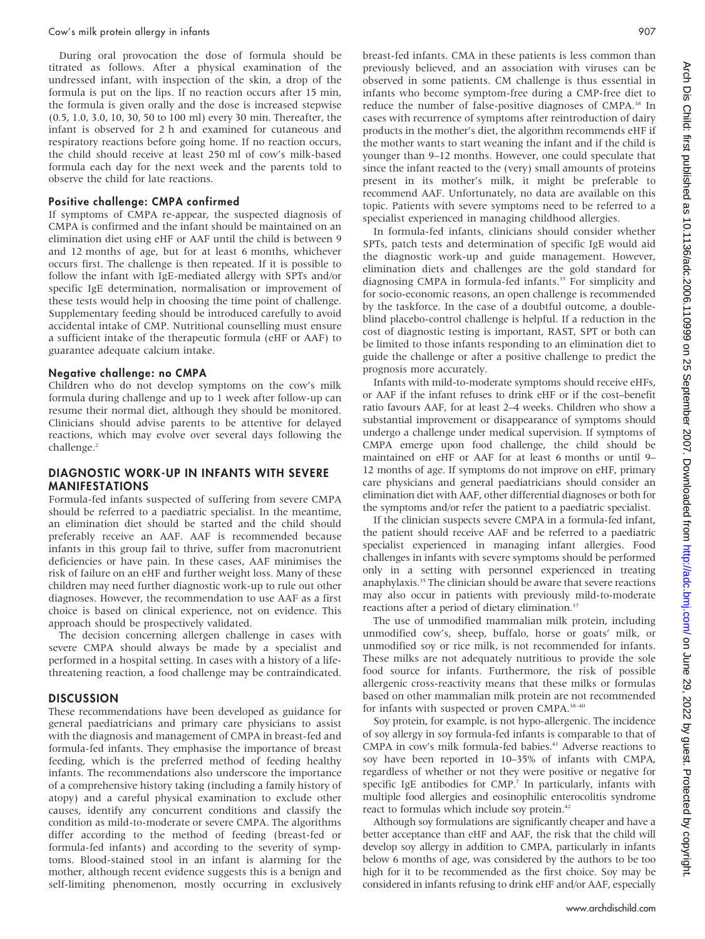#### Cow's milk protein allergy in infants 907

During oral provocation the dose of formula should be titrated as follows. After a physical examination of the undressed infant, with inspection of the skin, a drop of the formula is put on the lips. If no reaction occurs after 15 min, the formula is given orally and the dose is increased stepwise (0.5, 1.0, 3.0, 10, 30, 50 to 100 ml) every 30 min. Thereafter, the infant is observed for 2 h and examined for cutaneous and respiratory reactions before going home. If no reaction occurs, the child should receive at least 250 ml of cow's milk-based formula each day for the next week and the parents told to observe the child for late reactions.

#### Positive challenge: CMPA confirmed

If symptoms of CMPA re-appear, the suspected diagnosis of CMPA is confirmed and the infant should be maintained on an elimination diet using eHF or AAF until the child is between 9 and 12 months of age, but for at least 6 months, whichever occurs first. The challenge is then repeated. If it is possible to follow the infant with IgE-mediated allergy with SPTs and/or specific IgE determination, normalisation or improvement of these tests would help in choosing the time point of challenge. Supplementary feeding should be introduced carefully to avoid accidental intake of CMP. Nutritional counselling must ensure a sufficient intake of the therapeutic formula (eHF or AAF) to guarantee adequate calcium intake.

### Negative challenge: no CMPA

Children who do not develop symptoms on the cow's milk formula during challenge and up to 1 week after follow-up can resume their normal diet, although they should be monitored. Clinicians should advise parents to be attentive for delayed reactions, which may evolve over several days following the challenge.<sup>2</sup>

# DIAGNOSTIC WORK-UP IN INFANTS WITH SEVERE MANIFESTATIONS

Formula-fed infants suspected of suffering from severe CMPA should be referred to a paediatric specialist. In the meantime, an elimination diet should be started and the child should preferably receive an AAF. AAF is recommended because infants in this group fail to thrive, suffer from macronutrient deficiencies or have pain. In these cases, AAF minimises the risk of failure on an eHF and further weight loss. Many of these children may need further diagnostic work-up to rule out other diagnoses. However, the recommendation to use AAF as a first choice is based on clinical experience, not on evidence. This approach should be prospectively validated.

The decision concerning allergen challenge in cases with severe CMPA should always be made by a specialist and performed in a hospital setting. In cases with a history of a lifethreatening reaction, a food challenge may be contraindicated.

### **DISCUSSION**

These recommendations have been developed as guidance for general paediatricians and primary care physicians to assist with the diagnosis and management of CMPA in breast-fed and formula-fed infants. They emphasise the importance of breast feeding, which is the preferred method of feeding healthy infants. The recommendations also underscore the importance of a comprehensive history taking (including a family history of atopy) and a careful physical examination to exclude other causes, identify any concurrent conditions and classify the condition as mild-to-moderate or severe CMPA. The algorithms differ according to the method of feeding (breast-fed or formula-fed infants) and according to the severity of symptoms. Blood-stained stool in an infant is alarming for the mother, although recent evidence suggests this is a benign and self-limiting phenomenon, mostly occurring in exclusively

breast-fed infants. CMA in these patients is less common than previously believed, and an association with viruses can be observed in some patients. CM challenge is thus essential in infants who become symptom-free during a CMP-free diet to reduce the number of false-positive diagnoses of CMPA.<sup>38</sup> In cases with recurrence of symptoms after reintroduction of dairy products in the mother's diet, the algorithm recommends eHF if the mother wants to start weaning the infant and if the child is younger than 9–12 months. However, one could speculate that since the infant reacted to the (very) small amounts of proteins present in its mother's milk, it might be preferable to recommend AAF. Unfortunately, no data are available on this topic. Patients with severe symptoms need to be referred to a specialist experienced in managing childhood allergies.

In formula-fed infants, clinicians should consider whether SPTs, patch tests and determination of specific IgE would aid the diagnostic work-up and guide management. However, elimination diets and challenges are the gold standard for diagnosing CMPA in formula-fed infants.35 For simplicity and for socio-economic reasons, an open challenge is recommended by the taskforce. In the case of a doubtful outcome, a doubleblind placebo-control challenge is helpful. If a reduction in the cost of diagnostic testing is important, RAST, SPT or both can be limited to those infants responding to an elimination diet to guide the challenge or after a positive challenge to predict the prognosis more accurately.

Infants with mild-to-moderate symptoms should receive eHFs, or AAF if the infant refuses to drink eHF or if the cost–benefit ratio favours AAF, for at least 2–4 weeks. Children who show a substantial improvement or disappearance of symptoms should undergo a challenge under medical supervision. If symptoms of CMPA emerge upon food challenge, the child should be maintained on eHF or AAF for at least 6 months or until 9– 12 months of age. If symptoms do not improve on eHF, primary care physicians and general paediatricians should consider an elimination diet with AAF, other differential diagnoses or both for the symptoms and/or refer the patient to a paediatric specialist.

If the clinician suspects severe CMPA in a formula-fed infant, the patient should receive AAF and be referred to a paediatric specialist experienced in managing infant allergies. Food challenges in infants with severe symptoms should be performed only in a setting with personnel experienced in treating anaphylaxis.35 The clinician should be aware that severe reactions may also occur in patients with previously mild-to-moderate reactions after a period of dietary elimination.<sup>37</sup>

The use of unmodified mammalian milk protein, including unmodified cow's, sheep, buffalo, horse or goats' milk, or unmodified soy or rice milk, is not recommended for infants. These milks are not adequately nutritious to provide the sole food source for infants. Furthermore, the risk of possible allergenic cross-reactivity means that these milks or formulas based on other mammalian milk protein are not recommended for infants with suspected or proven CMPA.<sup>38-40</sup>

Soy protein, for example, is not hypo-allergenic. The incidence of soy allergy in soy formula-fed infants is comparable to that of CMPA in cow's milk formula-fed babies.<sup>41</sup> Adverse reactions to soy have been reported in 10–35% of infants with CMPA, regardless of whether or not they were positive or negative for specific IgE antibodies for CMP.<sup>7</sup> In particularly, infants with multiple food allergies and eosinophilic enterocolitis syndrome react to formulas which include soy protein.<sup>42</sup>

Although soy formulations are significantly cheaper and have a better acceptance than eHF and AAF, the risk that the child will develop soy allergy in addition to CMPA, particularly in infants below 6 months of age, was considered by the authors to be too high for it to be recommended as the first choice. Soy may be considered in infants refusing to drink eHF and/or AAF, especially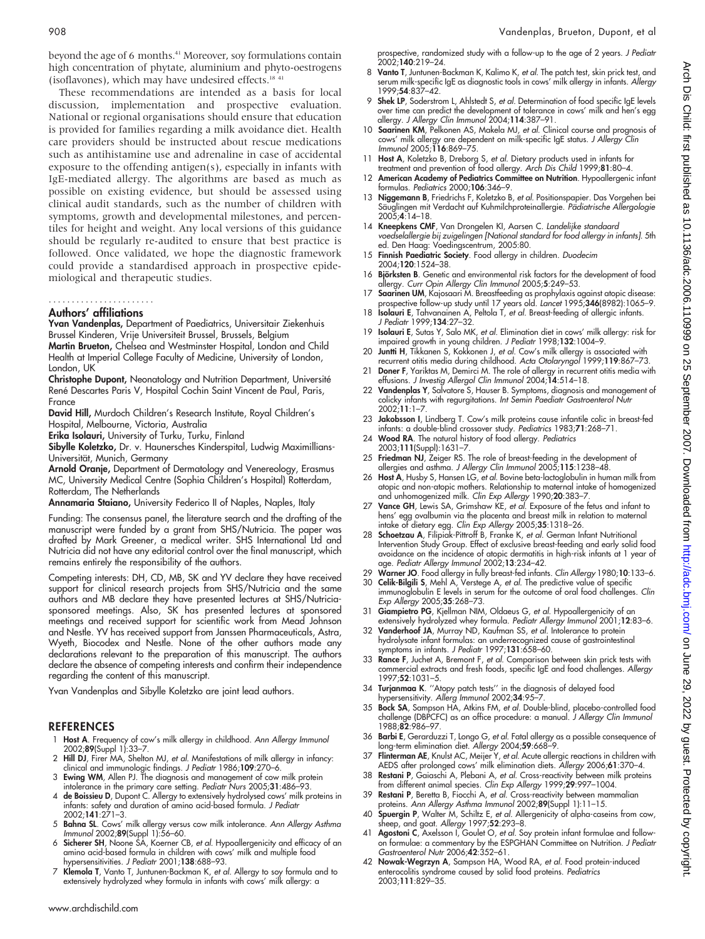beyond the age of 6 months.<sup>41</sup> Moreover, soy formulations contain high concentration of phytate, aluminium and phyto-oestrogens (isoflavones), which may have undesired effects.<sup>18 41</sup>

These recommendations are intended as a basis for local discussion, implementation and prospective evaluation. National or regional organisations should ensure that education is provided for families regarding a milk avoidance diet. Health care providers should be instructed about rescue medications such as antihistamine use and adrenaline in case of accidental exposure to the offending antigen(s), especially in infants with IgE-mediated allergy. The algorithms are based as much as possible on existing evidence, but should be assessed using clinical audit standards, such as the number of children with symptoms, growth and developmental milestones, and percentiles for height and weight. Any local versions of this guidance should be regularly re-audited to ensure that best practice is followed. Once validated, we hope the diagnostic framework could provide a standardised approach in prospective epidemiological and therapeutic studies.

#### Authors' affiliations .......................

Yvan Vandenplas, Department of Paediatrics, Universitair Ziekenhuis Brussel Kinderen, Vrije Universiteit Brussel, Brussels, Belgium

Martin Brueton, Chelsea and Westminster Hospital, London and Child Health at Imperial College Faculty of Medicine, University of London, London, UK

Christophe Dupont, Neonatology and Nutrition Department, Université René Descartes Paris V, Hospital Cochin Saint Vincent de Paul, Paris, France

David Hill, Murdoch Children's Research Institute, Royal Children's Hospital, Melbourne, Victoria, Australia

Erika Isolauri, University of Turku, Turku, Finland

Sibylle Koletzko, Dr. v. Haunersches Kinderspital, Ludwig Maximillians-Universität, Munich, Germany

Arnold Oranje, Department of Dermatology and Venereology, Erasmus MC, University Medical Centre (Sophia Children's Hospital) Rotterdam, Rotterdam, The Netherlands

Annamaria Staiano, University Federico II of Naples, Naples, Italy

Funding: The consensus panel, the literature search and the drafting of the manuscript were funded by a grant from SHS/Nutricia. The paper was drafted by Mark Greener, a medical writer. SHS International Ltd and Nutricia did not have any editorial control over the final manuscript, which remains entirely the responsibility of the authors.

Competing interests: DH, CD, MB, SK and YV declare they have received support for clinical research projects from SHS/Nutricia and the same authors and MB declare they have presented lectures at SHS/Nutriciasponsored meetings. Also, SK has presented lectures at sponsored meetings and received support for scientific work from Mead Johnson and Nestle. YV has received support from Janssen Pharmaceuticals, Astra, Wyeth, Biocodex and Nestle. None of the other authors made any declarations relevant to the preparation of this manuscript. The authors declare the absence of competing interests and confirm their independence regarding the content of this manuscript.

Yvan Vandenplas and Sibylle Koletzko are joint lead authors.

#### REFERENCES

- 1 Host A. Frequency of cow's milk allergy in childhood. Ann Allergy Immunol 2002;89(Suppl 1):33–7.
- 2 Hill DJ, Firer MA, Shelton MJ, et al. Manifestations of milk allergy in infancy:
- clinical and immunologic findings. *J Pediatr* 1986;1**09**:270–6.<br>3 **Ewing WM**, Allen PJ. The diagnosis and management of cow milk protein
- intolerance in the primary care setting. Pediatr Nurs 2005;31:486–93. 4 de Boissieu D, Dupont C. Allergy to extensively hydrolysed cows' milk proteins in infants: safety and duration of amino acid-based formula. J Pediatr 2002;141:271–3.
- 5 Bahna SL. Cows' milk allergy versus cow milk intolerance. Ann Allergy Asthma
- Immunol 2002;**89**(Suppl 1):56–60.<br>6 **Sicherer SH**, Noone SA, Koerner CB*, et al.* Hypoallergenicity and efficacy of an amino acid-based formula in children with cows' milk and multiple food hypersensitivities. J Pediatr 2001;138:688–93.
- 7 Klemola T, Vanto T, Juntunen-Backman K, et al. Allergy to soy formula and to extensively hydrolyzed whey formula in infants with cows' milk allergy: a

prospective, randomized study with a follow-up to the age of 2 years. J Pediatr 2002;140:219–24.

- Vanto T, Juntunen-Backman K, Kalimo K, et al. The patch test, skin prick test, and serum milk-specific IgE as diagnostic tools in cows' milk allergy in infants. Allergy 1999;54:837–42.
- 9 Shek LP, Soderstrom L, Ahlstedt S, et al. Determination of food specific IgE levels over time can predict the development of tolerance in cows' milk and hen's egg allergy. J Allergy Clin Immunol 2004;114:387–91.
- 10 Saarinen KM, Pelkonen AS, Makela MJ, et al. Clinical course and prognosis of cows' milk allergy are dependent on milk-specific IgE status. J Allergy Clin Immunol 2005;116:869–75.
- 11 Host A, Koletzko B, Dreborg S, et al. Dietary products used in infants for treatment and prevention of food allergy. Arch Dis Child 1999;81:80–4.
- 12 American Academy of Pediatrics Committee on Nutrition. Hypoallergenic infant formulas. Pediatrics 2000;106:346–9.
- 13 **Niggemann B**, Friedrichs F, Koletzko B, et al. Positionspapier. Das Vorgehen bei Säuglingen mit Verdacht auf Kuhmilchproteinallergie. Pädiatrische Allergologie  $2005 \cdot 4 \cdot 14 - 18$
- 14 Kneepkens CMF, Van Drongelen KI, Aarsen C. Landelijke standaard voedselallergie bij zuigelingen [National standard for food allergy in infants]. 5th ed. Den Haag: Voedingscentrum, 2005:80.
- 15 Finnish Paediatric Society. Food allergy in children. Duodecim 2004;120:1524–38.
- 16 Björksten B. Genetic and environmental risk factors for the development of food allergy. Curr Opin Allergy Clin Immunol 2005;5:249–53.
- 17 Saarinen UM, Kajosaari M. Breastfeeding as prophylaxis against atopic disease: prospective follow-up study until 17 years old. Lancet 1995;346(8982):1065–9.
- 18 **Isolauri E**, Tahvanainen A, Peltola T, et al. Breast-feeding of allergic infants. J Pediatr 1999;134:27–32.
- 19 **Isolauri E**, Sutas Y, Salo MK, et al. Elimination diet in cows' milk allergy: risk for impaired growth in young children. J Pediatr 1998;132:1004–9.
- 20 Juntti H, Tikkanen S, Kokkonen J, et al. Cow's milk allergy is associated with recurrent otitis media during childhood. Acta Otolaryngol 1999;119:867–73.
- 21 Doner F, Yariktas M, Demirci M. The role of allergy in recurrent otitis media with effusions. J Investig Allergol Clin Immunol 2004;14:514–18.
- 22 Vandenplas Y, Salvatore S, Hauser B. Symptoms, diagnosis and management of colicky infants with regurgitations. Int Semin Paediatr Gastroenterol Nutr 2002;11:1–7.
- 23 Jakobsson I, Lindberg T. Cow's milk proteins cause infantile colic in breast-fed infants: a double-blind crossover study. Pediatrics 1983;71:268–71.
- 24 Wood RA. The natural history of food allergy. Pediatrics 2003;111(Suppl):1631–7.
- 25 Friedman NJ, Zeiger RS. The role of breast-feeding in the development of allergies and asthma. J Allergy Clin Immunol 2005;115:1238–48.
- 26 Host A, Husby S, Hansen LG, et al. Bovine beta-lactoglobulin in human milk from atopic and non-atopic mothers. Relationship to maternal intake of homogenized and unhomogenized milk. Clin Exp Allergy 1990;20:383–7.
- Vance GH, Lewis SA, Grimshaw KE, et al. Exposure of the fetus and infant to hens' egg ovalbumin via the placenta and breast milk in relation to maternal intake of dietary egg. Clin Exp Allergy 2005;35:1318–26.
- 28 Schoetzau A, Filipiak-Pittroff B, Franke K, et al. German Infant Nutritional Intervention Study Group. Effect of exclusive breast-feeding and early solid food avoidance on the incidence of atopic dermatitis in high-risk infants at 1 year of age. Pediatr Allergy Immunol 2002;13:234–42.
- 29 Warner JO. Food allergy in fully breast-fed infants. Clin Allergy 1980;10:133–6.
- 30 Celik-Bilgili S, Mehl A, Verstege A, et al. The predictive value of specific immunoglobulin E levels in serum for the outcome of oral food challenges. Clin Exp Allergy 2005;35:268–73.
- 31 Giampietro PG, Kjellman NIM, Oldaeus G, et al. Hypoallergenicity of an extensively hydrolyzed whey formula. Pediatr Allergy Immunol 2001;12:83-6.
- 32 Vanderhoof JA, Murray ND, Kaufman SS, et al. Intolerance to protein hydrolysate infant formulas: an underrecognized cause of gastrointestinal symptoms in infants. J Pediatr 1997;131:658–60.
- 33 Rance F, Juchet A, Bremont F, et al. Comparison between skin prick tests with commercial extracts and fresh foods, specific IgE and food challenges. Allergy 1997;52:1031–5.
- 34 Turjanmaa K. ''Atopy patch tests'' in the diagnosis of delayed food hypersensitivity. Allerg Immunol 2002;34:95–7.
- 35 Bock SA, Sampson HA, Atkins FM, et al. Double-blind, placebo-controlled food challenge (DBPCFC) as an office procedure: a manual. J Allergy Clin Immunol 1988;82:986–97.
- 36 Barbi E, Gerarduzzi T, Longo G, et al. Fatal allergy as a possible consequence of long-term elimination diet. Allergy 2004;59:668–9.
- 37 **Flinterman AE**, Knulst AC, Meijer Y, *et al.* Acute allergic reactions in children with AEDS after prolonged cows' milk elimination diets. Allergy 2006;61:370–4.
- 38 Restani P, Gaiaschi A, Plebani A, et al. Cross-reactivity between milk proteins from different animal species. Clin Exp Allergy 1999;29:997–1004.
- 39 Restani P, Beretta B, Fiocchi A, et al. Cross-reactivity between mammalian proteins. Ann Allergy Asthma Immunol 2002;89(Suppl 1):11-15.
- 40 Spuergin P, Walter M, Schiltz E, et al. Allergenicity of alpha-caseins from cow, sheep, and goat. Allergy 1997;52:293-8.
- 41 Agostoni C, Axelsson I, Goulet O, et al. Soy protein infant formulae and follow-on formulae: a commentary by the ESPGHAN Committee on Nutrition. J Pediatr Gastroenterol Nutr 2006;42:352–61.
- 42 Nowak-Wegrzyn A, Sampson HA, Wood RA, et al. Food protein-induced enterocolitis syndrome caused by solid food proteins. Pediatrics 2003;111:829–35.